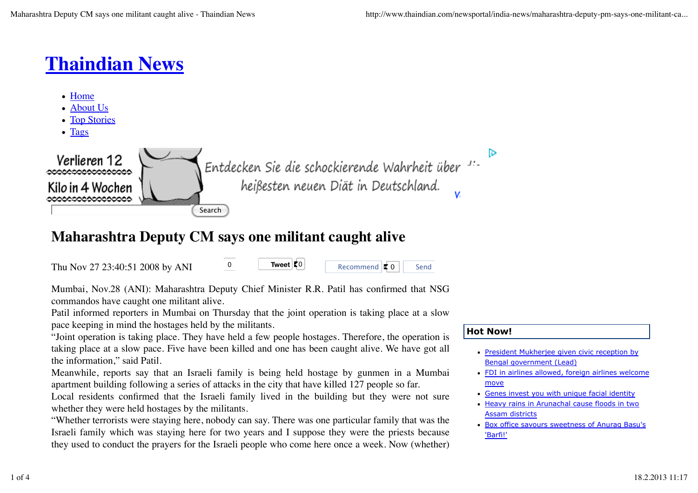# **Thaindian News**

- Home
- About Us
- Top Stories
- Tags



# **Maharashtra Deputy CM says one militant caught alive**

Thu Nov 27 23:40:51 2008 by ANI 0

Recommend  $\vert \cdot \vert$  0 Send

Mumbai, Nov.28 (ANI): Maharashtra Deputy Chief Minister R.R. Patil has confirmed that NSG commandos have caught one militant alive.

Patil informed reporters in Mumbai on Thursday that the joint operation is taking place at a slow pace keeping in mind the hostages held by the militants.

"Joint operation is taking place. They have held a few people hostages. Therefore, the operation is taking place at a slow pace. Five have been killed and one has been caught alive. We have got all the information," said Patil.

Meanwhile, reports say that an Israeli family is being held hostage by gunmen in a Mumbai apartment building following a series of attacks in the city that have killed 127 people so far.

Local residents confirmed that the Israeli family lived in the building but they were not sure whether they were held hostages by the militants.

"Whether terrorists were staying here, nobody can say. There was one particular family that was the Israeli family which was staying here for two years and I suppose they were the priests because they used to conduct the prayers for the Israeli people who come here once a week. Now (whether)

# **Hot Now!**

- President Mukherjee given civic reception by Bengal government (Lead)
- FDI in airlines allowed, foreign airlines welcome move
- Genes invest you with unique facial identity
- Heavy rains in Arunachal cause floods in two Assam districts
- Box office savours sweetness of Anurag Basu's 'Barfi!'